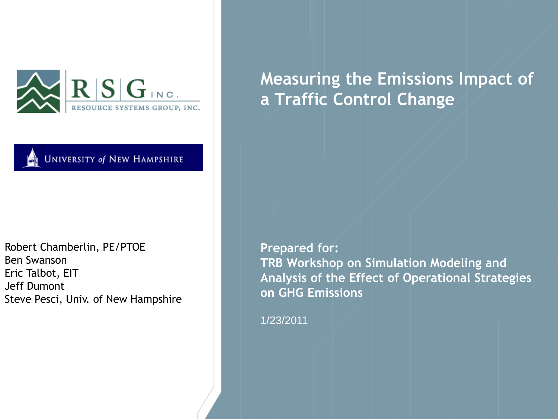



Robert Chamberlin, PE/PTOE Ben Swanson Eric Talbot, EIT Jeff Dumont Steve Pesci, Univ. of New Hampshire **Measuring the Emissions Impact of a Traffic Control Change**

**Prepared for: TRB Workshop on Simulation Modeling and Analysis of the Effect of Operational Strategies on GHG Emissions**

1/23/2011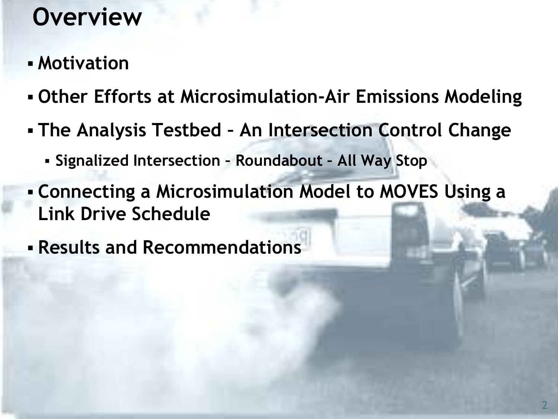# **Overview**

- **Motivation**
- **Other Efforts at Microsimulation-Air Emissions Modeling**
- **The Analysis Testbed – An Intersection Control Change**
	- **Signalized Intersection – Roundabout – All Way Stop**
- **Connecting a Microsimulation Model to MOVES Using a Link Drive Schedule**
- **Results and Recommendations**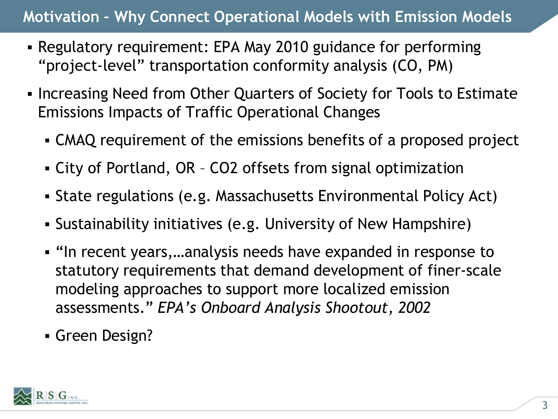### **Motivation – Why Connect Operational Models with Emission Models**

- Regulatory requirement: EPA May 2010 guidance for performing "project-level" transportation conformity analysis (CO, PM)
- Increasing Need from Other Quarters of Society for Tools to Estimate Emissions Impacts of Traffic Operational Changes
	- CMAQ requirement of the emissions benefits of a proposed project
	- City of Portland, OR CO2 offsets from signal optimization
	- State regulations (e.g. Massachusetts Environmental Policy Act)
	- Sustainability initiatives (e.g. University of New Hampshire)
	- "In recent years,…analysis needs have expanded in response to statutory requirements that demand development of finer-scale modeling approaches to support more localized emission assessments." *EPA's Onboard Analysis Shootout, 2002*
	- Green Design?

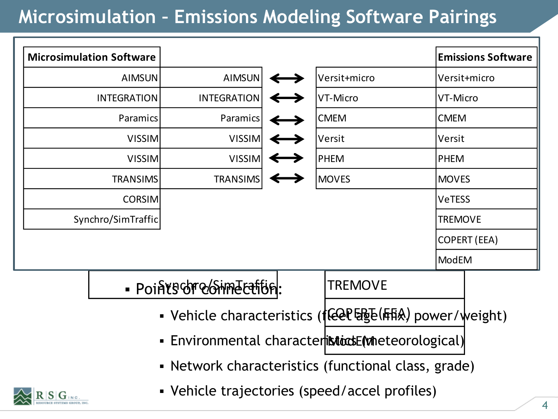## **Microsimulation – Emissions Modeling Software Pairings**

| <b>Microsimulation Software</b>                     |                                |                                |  |                              |                     | <b>Emissions Software</b> |
|-----------------------------------------------------|--------------------------------|--------------------------------|--|------------------------------|---------------------|---------------------------|
|                                                     | <b>AIMSUN</b><br><b>AIMSUN</b> |                                |  | Versit+micro                 | Versit+micro        |                           |
| <b>INTEGRATION</b>                                  | <b>INTEGRATION</b>             |                                |  | VT-Micro                     | VT-Micro            |                           |
| Paramics                                            |                                | Paramics                       |  | <b>CMEM</b>                  | <b>CMEM</b>         |                           |
| <b>VISSIM</b>                                       |                                | <b>VISSIM</b><br><b>Versit</b> |  |                              | Versit              |                           |
|                                                     | <b>VISSIM</b>                  | <b>VISSIM</b><br><b>PHEM</b>   |  |                              | <b>PHEM</b>         |                           |
| <b>TRANSIMS</b><br><b>TRANSIMS</b>                  |                                |                                |  | <b>MOVES</b><br><b>MOVES</b> |                     |                           |
| <b>CORSIM</b>                                       |                                |                                |  |                              | <b>VeTESS</b>       |                           |
| Synchro/SimTraffic                                  |                                |                                |  |                              | <b>TREMOVE</b>      |                           |
|                                                     |                                |                                |  |                              | <b>COPERT (EEA)</b> |                           |
|                                                     |                                |                                |  |                              | <b>ModEM</b>        |                           |
|                                                     | · Pointschre/StimeEction:      |                                |  | <b>TREMOVE</b>               |                     |                           |
| • Vehicle characteristics ((任何隔)(后)power/weight)    |                                |                                |  |                              |                     |                           |
| · Environmental characteristicasE(wheteorological)  |                                |                                |  |                              |                     |                           |
| • Network characteristics (functional class, grade) |                                |                                |  |                              |                     |                           |

Vehicle trajectories (speed/accel profiles)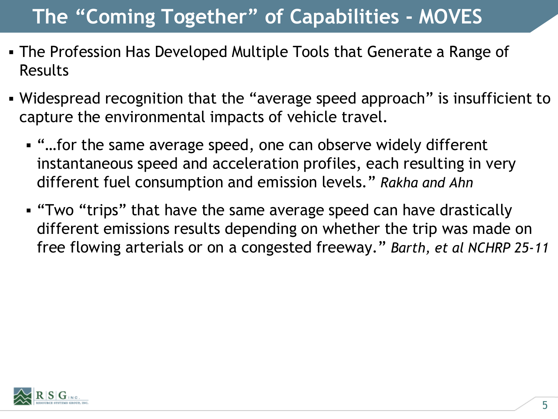## **The "Coming Together" of Capabilities - MOVES**

- The Profession Has Developed Multiple Tools that Generate a Range of Results
- Widespread recognition that the "average speed approach" is insufficient to capture the environmental impacts of vehicle travel.
	- "…for the same average speed, one can observe widely different instantaneous speed and acceleration profiles, each resulting in very different fuel consumption and emission levels." *Rakha and Ahn*
	- "Two "trips" that have the same average speed can have drastically different emissions results depending on whether the trip was made on free flowing arterials or on a congested freeway." *Barth, et al NCHRP 25-11*

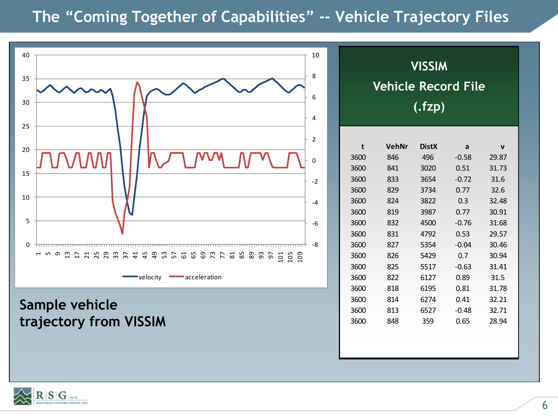### **The "Coming Together of Capabilities" -- Vehicle Trajectory Files**



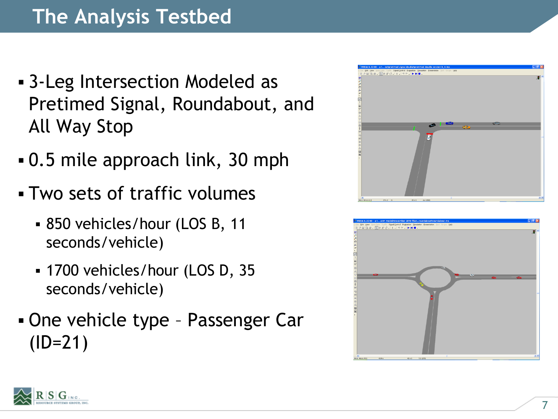- 3-Leg Intersection Modeled as Pretimed Signal, Roundabout, and All Way Stop
- 0.5 mile approach link, 30 mph
- Two sets of traffic volumes
	- 850 vehicles/hour (LOS B, 11 seconds/vehicle)
	- 1700 vehicles/hour (LOS D, 35 seconds/vehicle)
- One vehicle type Passenger Car (ID=21)





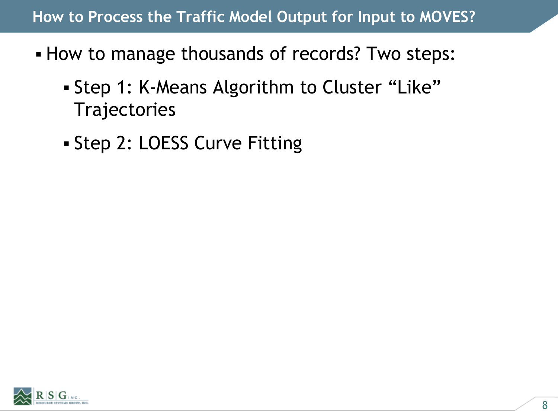#### **How to Process the Traffic Model Output for Input to MOVES?**

- How to manage thousands of records? Two steps:
	- Step 1: K-Means Algorithm to Cluster "Like" **Trajectories**
	- Step 2: LOESS Curve Fitting

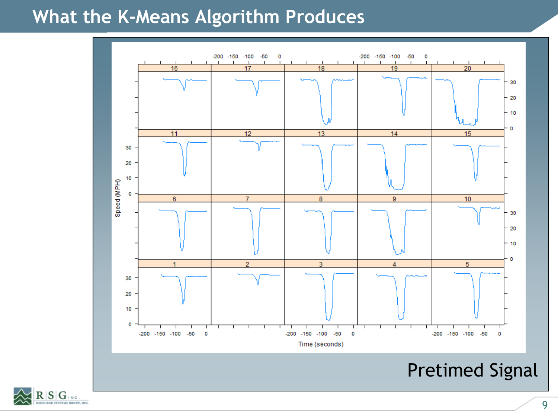### **What the K-Means Algorithm Produces**



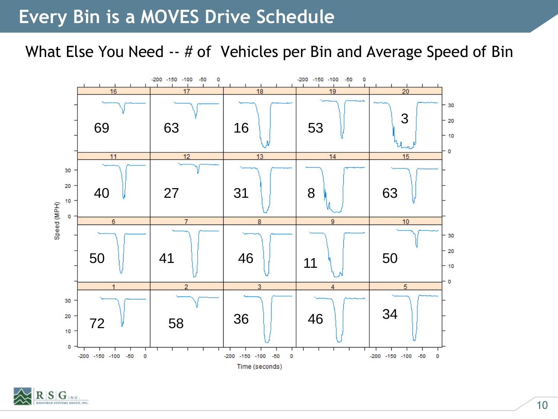### **Every Bin is a MOVES Drive Schedule**

What Else You Need -- # of Vehicles per Bin and Average Speed of Bin



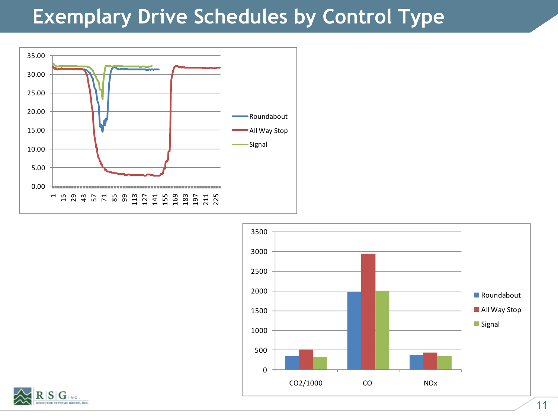### **Exemplary Drive Schedules by Control Type**





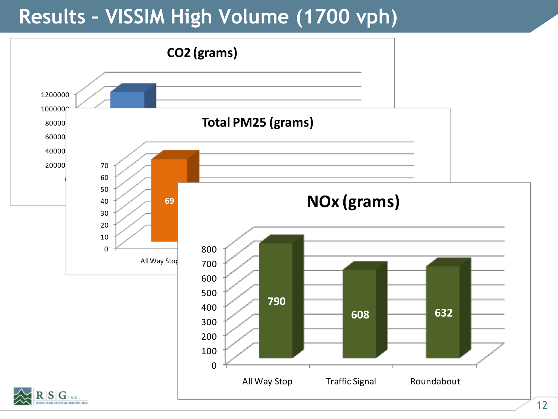## **Results – VISSIM High Volume (1700 vph)**

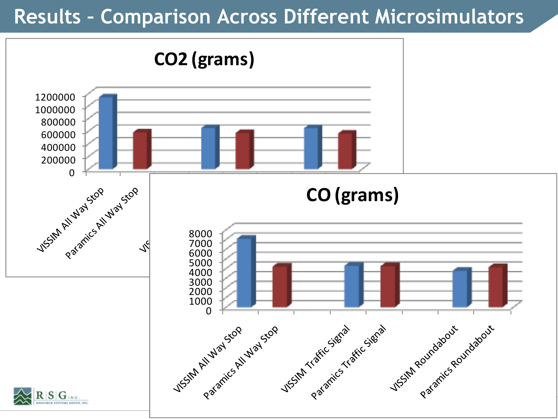## **Results – Comparison Across Different Microsimulators**

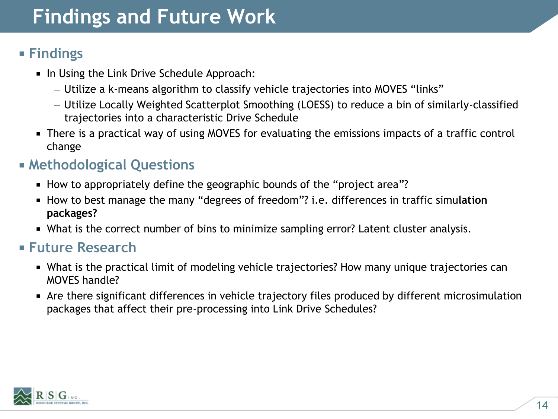## **Findings and Future Work**

#### **Findings**

- In Using the Link Drive Schedule Approach:
	- Utilize a k-means algorithm to classify vehicle trajectories into MOVES "links"
	- Utilize Locally Weighted Scatterplot Smoothing (LOESS) to reduce a bin of similarly-classified trajectories into a characteristic Drive Schedule
- There is a practical way of using MOVES for evaluating the emissions impacts of a traffic control change

#### **Methodological Questions**

- How to appropriately define the geographic bounds of the "project area"?
- How to best manage the many "degrees of freedom"? i.e. differences in traffic simu**lation packages?**
- What is the correct number of bins to minimize sampling error? Latent cluster analysis.

#### **Future Research**

- What is the practical limit of modeling vehicle trajectories? How many unique trajectories can MOVES handle?
- Are there significant differences in vehicle trajectory files produced by different microsimulation packages that affect their pre-processing into Link Drive Schedules?